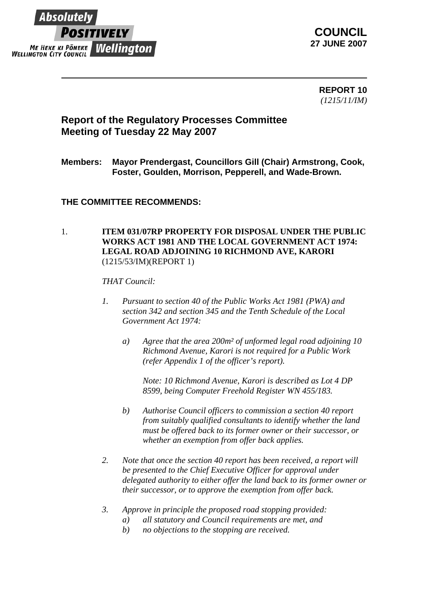

**COUNCIL 27 JUNE 2007**

> **REPORT 10** *(1215/11/IM)*

# **Report of the Regulatory Processes Committee Meeting of Tuesday 22 May 2007**

## **Members: Mayor Prendergast, Councillors Gill (Chair) Armstrong, Cook, Foster, Goulden, Morrison, Pepperell, and Wade-Brown.**

## **THE COMMITTEE RECOMMENDS:**

#### 1. **ITEM 031/07RP PROPERTY FOR DISPOSAL UNDER THE PUBLIC WORKS ACT 1981 AND THE LOCAL GOVERNMENT ACT 1974: LEGAL ROAD ADJOINING 10 RICHMOND AVE, KARORI**  (1215/53/IM)(REPORT 1)

#### *THAT Council:*

- *1. Pursuant to section 40 of the Public Works Act 1981 (PWA) and section 342 and section 345 and the Tenth Schedule of the Local Government Act 1974:* 
	- *a) Agree that the area 200m² of unformed legal road adjoining 10 Richmond Avenue, Karori is not required for a Public Work (refer Appendix 1 of the officer's report).*

*Note: 10 Richmond Avenue, Karori is described as Lot 4 DP 8599, being Computer Freehold Register WN 455/183.* 

- *b) Authorise Council officers to commission a section 40 report from suitably qualified consultants to identify whether the land must be offered back to its former owner or their successor, or whether an exemption from offer back applies.*
- *2. Note that once the section 40 report has been received, a report will be presented to the Chief Executive Officer for approval under delegated authority to either offer the land back to its former owner or their successor, or to approve the exemption from offer back.*
- *3. Approve in principle the proposed road stopping provided:* 
	- *a) all statutory and Council requirements are met, and*
	- *b) no objections to the stopping are received.*